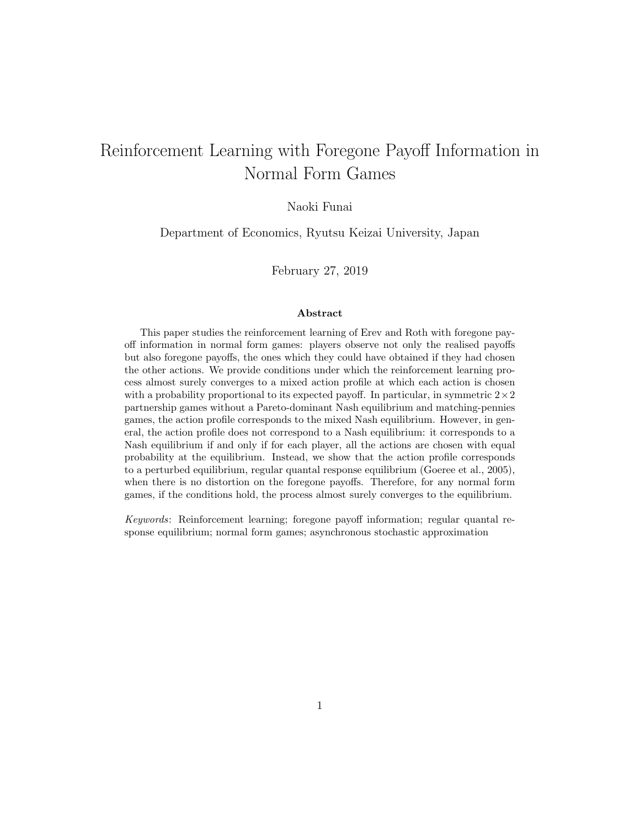# Reinforcement Learning with Foregone Payoff Information in Normal Form Games

#### Naoki Funai

Department of Economics, Ryutsu Keizai University, Japan

February 27, 2019

#### Abstract

This paper studies the reinforcement learning of Erev and Roth with foregone payoff information in normal form games: players observe not only the realised payoffs but also foregone payoffs, the ones which they could have obtained if they had chosen the other actions. We provide conditions under which the reinforcement learning process almost surely converges to a mixed action profile at which each action is chosen with a probability proportional to its expected payoff. In particular, in symmetric  $2 \times 2$ partnership games without a Pareto-dominant Nash equilibrium and matching-pennies games, the action profile corresponds to the mixed Nash equilibrium. However, in general, the action profile does not correspond to a Nash equilibrium: it corresponds to a Nash equilibrium if and only if for each player, all the actions are chosen with equal probability at the equilibrium. Instead, we show that the action profile corresponds to a perturbed equilibrium, regular quantal response equilibrium (Goeree et al., 2005), when there is no distortion on the foregone payoffs. Therefore, for any normal form games, if the conditions hold, the process almost surely converges to the equilibrium.

Keywords: Reinforcement learning; foregone payoff information; regular quantal response equilibrium; normal form games; asynchronous stochastic approximation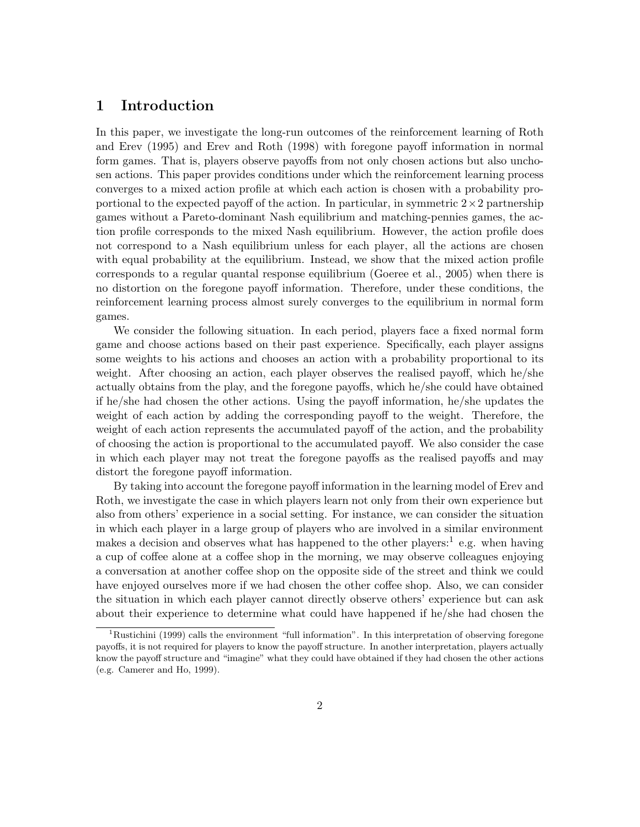## 1 Introduction

In this paper, we investigate the long-run outcomes of the reinforcement learning of Roth and Erev (1995) and Erev and Roth (1998) with foregone payoff information in normal form games. That is, players observe payoffs from not only chosen actions but also unchosen actions. This paper provides conditions under which the reinforcement learning process converges to a mixed action profile at which each action is chosen with a probability proportional to the expected payoff of the action. In particular, in symmetric  $2 \times 2$  partnership games without a Pareto-dominant Nash equilibrium and matching-pennies games, the action profile corresponds to the mixed Nash equilibrium. However, the action profile does not correspond to a Nash equilibrium unless for each player, all the actions are chosen with equal probability at the equilibrium. Instead, we show that the mixed action profile corresponds to a regular quantal response equilibrium (Goeree et al., 2005) when there is no distortion on the foregone payoff information. Therefore, under these conditions, the reinforcement learning process almost surely converges to the equilibrium in normal form games.

We consider the following situation. In each period, players face a fixed normal form game and choose actions based on their past experience. Specifically, each player assigns some weights to his actions and chooses an action with a probability proportional to its weight. After choosing an action, each player observes the realised payoff, which he/she actually obtains from the play, and the foregone payoffs, which he/she could have obtained if he/she had chosen the other actions. Using the payoff information, he/she updates the weight of each action by adding the corresponding payoff to the weight. Therefore, the weight of each action represents the accumulated payoff of the action, and the probability of choosing the action is proportional to the accumulated payoff. We also consider the case in which each player may not treat the foregone payoffs as the realised payoffs and may distort the foregone payoff information.

By taking into account the foregone payoff information in the learning model of Erev and Roth, we investigate the case in which players learn not only from their own experience but also from others' experience in a social setting. For instance, we can consider the situation in which each player in a large group of players who are involved in a similar environment makes a decision and observes what has happened to the other players:<sup>1</sup> e.g. when having a cup of coffee alone at a coffee shop in the morning, we may observe colleagues enjoying a conversation at another coffee shop on the opposite side of the street and think we could have enjoyed ourselves more if we had chosen the other coffee shop. Also, we can consider the situation in which each player cannot directly observe others' experience but can ask about their experience to determine what could have happened if he/she had chosen the

<sup>&</sup>lt;sup>1</sup>Rustichini (1999) calls the environment "full information". In this interpretation of observing foregone payoffs, it is not required for players to know the payoff structure. In another interpretation, players actually know the payoff structure and "imagine" what they could have obtained if they had chosen the other actions (e.g. Camerer and Ho, 1999).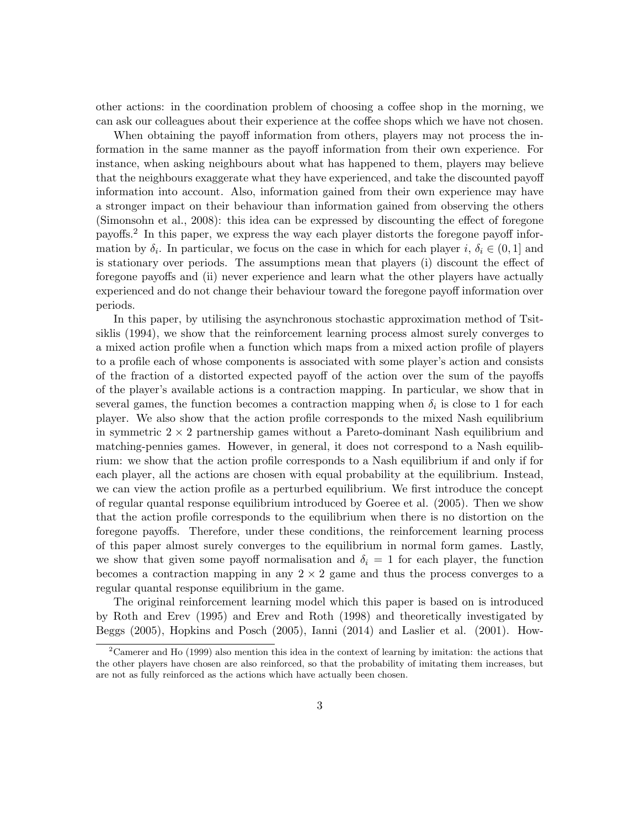other actions: in the coordination problem of choosing a coffee shop in the morning, we can ask our colleagues about their experience at the coffee shops which we have not chosen.

When obtaining the payoff information from others, players may not process the information in the same manner as the payoff information from their own experience. For instance, when asking neighbours about what has happened to them, players may believe that the neighbours exaggerate what they have experienced, and take the discounted payoff information into account. Also, information gained from their own experience may have a stronger impact on their behaviour than information gained from observing the others (Simonsohn et al., 2008): this idea can be expressed by discounting the effect of foregone payoffs.<sup>2</sup> In this paper, we express the way each player distorts the foregone payoff information by  $\delta_i$ . In particular, we focus on the case in which for each player i,  $\delta_i \in (0,1]$  and is stationary over periods. The assumptions mean that players (i) discount the effect of foregone payoffs and (ii) never experience and learn what the other players have actually experienced and do not change their behaviour toward the foregone payoff information over periods.

In this paper, by utilising the asynchronous stochastic approximation method of Tsitsiklis (1994), we show that the reinforcement learning process almost surely converges to a mixed action profile when a function which maps from a mixed action profile of players to a profile each of whose components is associated with some player's action and consists of the fraction of a distorted expected payoff of the action over the sum of the payoffs of the player's available actions is a contraction mapping. In particular, we show that in several games, the function becomes a contraction mapping when  $\delta_i$  is close to 1 for each player. We also show that the action profile corresponds to the mixed Nash equilibrium in symmetric  $2 \times 2$  partnership games without a Pareto-dominant Nash equilibrium and matching-pennies games. However, in general, it does not correspond to a Nash equilibrium: we show that the action profile corresponds to a Nash equilibrium if and only if for each player, all the actions are chosen with equal probability at the equilibrium. Instead, we can view the action profile as a perturbed equilibrium. We first introduce the concept of regular quantal response equilibrium introduced by Goeree et al. (2005). Then we show that the action profile corresponds to the equilibrium when there is no distortion on the foregone payoffs. Therefore, under these conditions, the reinforcement learning process of this paper almost surely converges to the equilibrium in normal form games. Lastly, we show that given some payoff normalisation and  $\delta_i = 1$  for each player, the function becomes a contraction mapping in any  $2 \times 2$  game and thus the process converges to a regular quantal response equilibrium in the game.

The original reinforcement learning model which this paper is based on is introduced by Roth and Erev (1995) and Erev and Roth (1998) and theoretically investigated by Beggs (2005), Hopkins and Posch (2005), Ianni (2014) and Laslier et al. (2001). How-

 $2^2$ Camerer and Ho (1999) also mention this idea in the context of learning by imitation: the actions that the other players have chosen are also reinforced, so that the probability of imitating them increases, but are not as fully reinforced as the actions which have actually been chosen.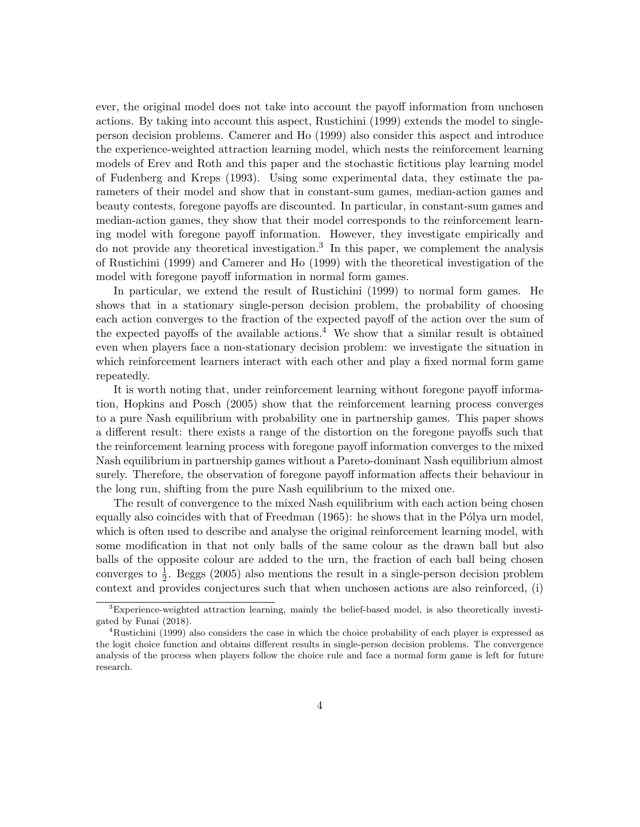ever, the original model does not take into account the payoff information from unchosen actions. By taking into account this aspect, Rustichini (1999) extends the model to singleperson decision problems. Camerer and Ho (1999) also consider this aspect and introduce the experience-weighted attraction learning model, which nests the reinforcement learning models of Erev and Roth and this paper and the stochastic fictitious play learning model of Fudenberg and Kreps (1993). Using some experimental data, they estimate the parameters of their model and show that in constant-sum games, median-action games and beauty contests, foregone payoffs are discounted. In particular, in constant-sum games and median-action games, they show that their model corresponds to the reinforcement learning model with foregone payoff information. However, they investigate empirically and do not provide any theoretical investigation.<sup>3</sup> In this paper, we complement the analysis of Rustichini (1999) and Camerer and Ho (1999) with the theoretical investigation of the model with foregone payoff information in normal form games.

In particular, we extend the result of Rustichini (1999) to normal form games. He shows that in a stationary single-person decision problem, the probability of choosing each action converges to the fraction of the expected payoff of the action over the sum of the expected payoffs of the available actions.<sup>4</sup> We show that a similar result is obtained even when players face a non-stationary decision problem: we investigate the situation in which reinforcement learners interact with each other and play a fixed normal form game repeatedly.

It is worth noting that, under reinforcement learning without foregone payoff information, Hopkins and Posch (2005) show that the reinforcement learning process converges to a pure Nash equilibrium with probability one in partnership games. This paper shows a different result: there exists a range of the distortion on the foregone payoffs such that the reinforcement learning process with foregone payoff information converges to the mixed Nash equilibrium in partnership games without a Pareto-dominant Nash equilibrium almost surely. Therefore, the observation of foregone payoff information affects their behaviour in the long run, shifting from the pure Nash equilibrium to the mixed one.

The result of convergence to the mixed Nash equilibrium with each action being chosen equally also coincides with that of Freedman  $(1965)$ : he shows that in the Pólya urn model, which is often used to describe and analyse the original reinforcement learning model, with some modification in that not only balls of the same colour as the drawn ball but also balls of the opposite colour are added to the urn, the fraction of each ball being chosen converges to  $\frac{1}{2}$ . Beggs (2005) also mentions the result in a single-person decision problem context and provides conjectures such that when unchosen actions are also reinforced, (i)

<sup>&</sup>lt;sup>3</sup>Experience-weighted attraction learning, mainly the belief-based model, is also theoretically investigated by Funai (2018).

<sup>&</sup>lt;sup>4</sup>Rustichini (1999) also considers the case in which the choice probability of each player is expressed as the logit choice function and obtains different results in single-person decision problems. The convergence analysis of the process when players follow the choice rule and face a normal form game is left for future research.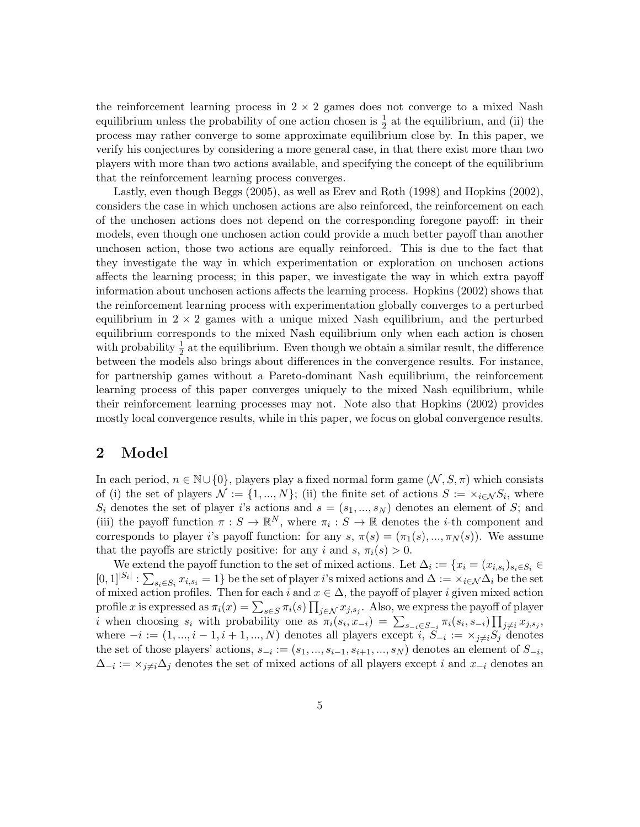the reinforcement learning process in  $2 \times 2$  games does not converge to a mixed Nash equilibrium unless the probability of one action chosen is  $\frac{1}{2}$  at the equilibrium, and (ii) the process may rather converge to some approximate equilibrium close by. In this paper, we verify his conjectures by considering a more general case, in that there exist more than two players with more than two actions available, and specifying the concept of the equilibrium that the reinforcement learning process converges.

Lastly, even though Beggs (2005), as well as Erev and Roth (1998) and Hopkins (2002), considers the case in which unchosen actions are also reinforced, the reinforcement on each of the unchosen actions does not depend on the corresponding foregone payoff: in their models, even though one unchosen action could provide a much better payoff than another unchosen action, those two actions are equally reinforced. This is due to the fact that they investigate the way in which experimentation or exploration on unchosen actions affects the learning process; in this paper, we investigate the way in which extra payoff information about unchosen actions affects the learning process. Hopkins (2002) shows that the reinforcement learning process with experimentation globally converges to a perturbed equilibrium in  $2 \times 2$  games with a unique mixed Nash equilibrium, and the perturbed equilibrium corresponds to the mixed Nash equilibrium only when each action is chosen with probability  $\frac{1}{2}$  at the equilibrium. Even though we obtain a similar result, the difference between the models also brings about differences in the convergence results. For instance, for partnership games without a Pareto-dominant Nash equilibrium, the reinforcement learning process of this paper converges uniquely to the mixed Nash equilibrium, while their reinforcement learning processes may not. Note also that Hopkins (2002) provides mostly local convergence results, while in this paper, we focus on global convergence results.

### 2 Model

In each period,  $n \in \mathbb{N} \cup \{0\}$ , players play a fixed normal form game  $(\mathcal{N}, \mathcal{S}, \pi)$  which consists of (i) the set of players  $\mathcal{N} := \{1, ..., N\}$ ; (ii) the finite set of actions  $S := \times_{i \in \mathcal{N}} S_i$ , where  $S_i$  denotes the set of player i's actions and  $s = (s_1, ..., s_N)$  denotes an element of S; and (iii) the payoff function  $\pi : S \to \mathbb{R}^N$ , where  $\pi_i : S \to \mathbb{R}$  denotes the *i*-th component and corresponds to player i's payoff function: for any  $s, \pi(s) = (\pi_1(s), ..., \pi_N(s))$ . We assume that the payoffs are strictly positive: for any i and s,  $\pi_i(s) > 0$ .

We extend the payoff function to the set of mixed actions. Let  $\Delta_i := \{x_i = (x_{i,s_i})_{s_i \in S_i} \in$  $[0,1]^{|S_i|} : \sum_{s_i \in S_i} x_{i,s_i} = 1$  be the set of player *i*'s mixed actions and  $\Delta := \sum_{i \in \mathcal{N}} \Delta_i$  be the set of mixed action profiles. Then for each i and  $x \in \Delta$ , the payoff of player i given mixed action profile x is expressed as  $\pi_i(x) = \sum_{s \in S} \pi_i(s) \prod_{j \in \mathcal{N}} x_{j,s_j}$ . Also, we express the payoff of player i when choosing  $s_i$  with probability one as  $\pi_i(s_i, x_{-i}) = \sum_{s_{-i} \in S_{-i}} \pi_i(s_i, s_{-i}) \prod_{j \neq i} x_{j, s_j}$ where  $-i := (1, ..., i - 1, i + 1, ..., N)$  denotes all players except  $i, S_{-i} := \times_{j \neq i} S_j$  denotes the set of those players' actions,  $s_{-i} := (s_1, ..., s_{i-1}, s_{i+1}, ..., s_N)$  denotes an element of  $S_{-i}$ ,  $\Delta_{-i} := \times_{j \neq i} \Delta_j$  denotes the set of mixed actions of all players except i and  $x_{-i}$  denotes an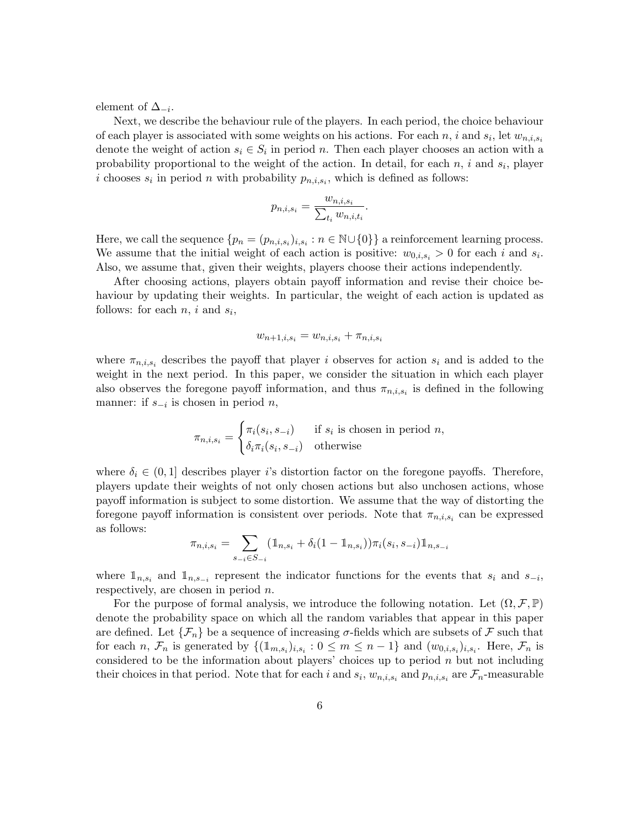element of  $\Delta_{-i}$ .

Next, we describe the behaviour rule of the players. In each period, the choice behaviour of each player is associated with some weights on his actions. For each n, i and  $s_i$ , let  $w_{n,i,s_i}$ denote the weight of action  $s_i \in S_i$  in period n. Then each player chooses an action with a probability proportional to the weight of the action. In detail, for each  $n$ , i and  $s_i$ , player i chooses  $s_i$  in period n with probability  $p_{n,i,s_i}$ , which is defined as follows:

$$
p_{n,i,s_i} = \frac{w_{n,i,s_i}}{\sum_{t_i} w_{n,i,t_i}}.
$$

Here, we call the sequence  $\{p_n = (p_{n,i,s_i})_{i,s_i} : n \in \mathbb{N} \cup \{0\}\}\$ a reinforcement learning process. We assume that the initial weight of each action is positive:  $w_{0,i,s_i} > 0$  for each i and  $s_i$ . Also, we assume that, given their weights, players choose their actions independently.

After choosing actions, players obtain payoff information and revise their choice behaviour by updating their weights. In particular, the weight of each action is updated as follows: for each  $n, i$  and  $s_i$ ,

$$
w_{n+1,i,s_i} = w_{n,i,s_i} + \pi_{n,i,s_i}
$$

where  $\pi_{n,i,s_i}$  describes the payoff that player *i* observes for action  $s_i$  and is added to the weight in the next period. In this paper, we consider the situation in which each player also observes the foregone payoff information, and thus  $\pi_{n,i,s_i}$  is defined in the following manner: if  $s_{-i}$  is chosen in period  $n$ ,

$$
\pi_{n,i,s_i} = \begin{cases} \pi_i(s_i, s_{-i}) & \text{if } s_i \text{ is chosen in period } n, \\ \delta_i \pi_i(s_i, s_{-i}) & \text{otherwise} \end{cases}
$$

where  $\delta_i \in (0,1]$  describes player i's distortion factor on the foregone payoffs. Therefore, players update their weights of not only chosen actions but also unchosen actions, whose payoff information is subject to some distortion. We assume that the way of distorting the foregone payoff information is consistent over periods. Note that  $\pi_{n,i,s_i}$  can be expressed as follows:

$$
\pi_{n,i,s_i} = \sum_{s_{-i} \in S_{-i}} (\mathbb{1}_{n,s_i} + \delta_i (1 - \mathbb{1}_{n,s_i})) \pi_i(s_i, s_{-i}) \mathbb{1}_{n,s_{-i}}
$$

where  $\mathbb{1}_{n,s_i}$  and  $\mathbb{1}_{n,s_{-i}}$  represent the indicator functions for the events that  $s_i$  and  $s_{-i}$ , respectively, are chosen in period n.

For the purpose of formal analysis, we introduce the following notation. Let  $(\Omega, \mathcal{F}, \mathbb{P})$ denote the probability space on which all the random variables that appear in this paper are defined. Let  $\{\mathcal{F}_n\}$  be a sequence of increasing  $\sigma$ -fields which are subsets of  $\mathcal F$  such that for each n,  $\mathcal{F}_n$  is generated by  $\{(\mathbb{1}_{m,s_i})_{i,s_i}: 0 \leq m \leq n-1\}$  and  $(w_{0,i,s_i})_{i,s_i}$ . Here,  $\mathcal{F}_n$  is considered to be the information about players' choices up to period  $n$  but not including their choices in that period. Note that for each i and  $s_i$ ,  $w_{n,i,s_i}$  and  $p_{n,i,s_i}$  are  $\mathcal{F}_n$ -measurable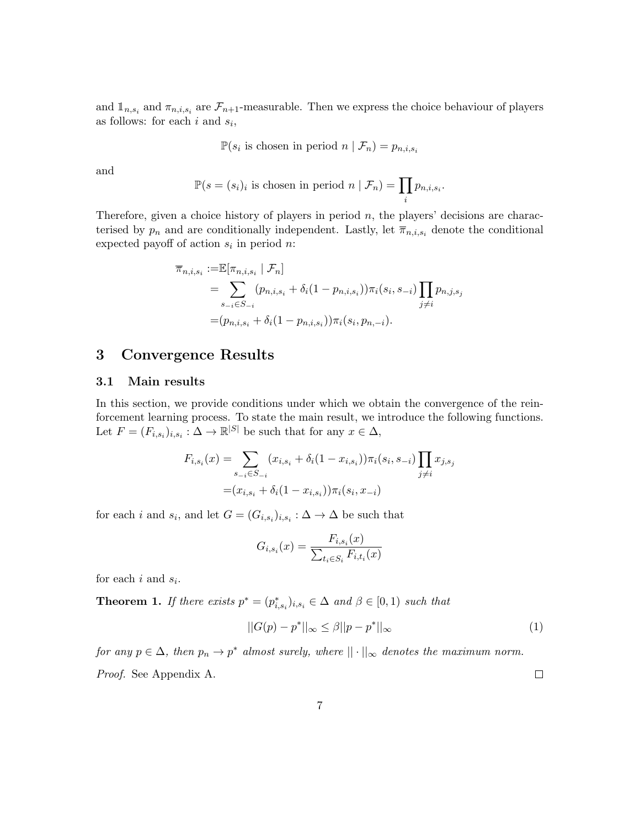and  $\mathbb{1}_{n,s_i}$  and  $\pi_{n,i,s_i}$  are  $\mathcal{F}_{n+1}$ -measurable. Then we express the choice behaviour of players as follows: for each  $i$  and  $s_i$ ,

 $\mathbb{P}(s_i \text{ is chosen in period } n \mid \mathcal{F}_n) = p_{n,i,s_i}$ 

and

$$
\mathbb{P}(s = (s_i)_i \text{ is chosen in period } n \mid \mathcal{F}_n) = \prod_i p_{n,i,s_i}.
$$

Therefore, given a choice history of players in period  $n$ , the players' decisions are characterised by  $p_n$  and are conditionally independent. Lastly, let  $\overline{\pi}_{n,i,s_i}$  denote the conditional expected payoff of action  $s_i$  in period n:

$$
\overline{\pi}_{n,i,s_i} := \mathbb{E}[\pi_{n,i,s_i} | \mathcal{F}_n]
$$
  
=  $\sum_{s_{-i} \in S_{-i}} (p_{n,i,s_i} + \delta_i (1 - p_{n,i,s_i})) \pi_i(s_i, s_{-i}) \prod_{j \neq i} p_{n,j,s_j}$   
=  $(p_{n,i,s_i} + \delta_i (1 - p_{n,i,s_i})) \pi_i(s_i, p_{n,-i}).$ 

## 3 Convergence Results

#### 3.1 Main results

In this section, we provide conditions under which we obtain the convergence of the reinforcement learning process. To state the main result, we introduce the following functions. Let  $F = (F_{i,s_i})_{i,s_i} : \Delta \to \mathbb{R}^{|S|}$  be such that for any  $x \in \Delta$ ,

$$
F_{i,s_i}(x) = \sum_{s_{-i} \in S_{-i}} (x_{i,s_i} + \delta_i (1 - x_{i,s_i})) \pi_i(s_i, s_{-i}) \prod_{j \neq i} x_{j,s_j}
$$

$$
= (x_{i,s_i} + \delta_i (1 - x_{i,s_i})) \pi_i(s_i, x_{-i})
$$

for each *i* and  $s_i$ , and let  $G = (G_{i,s_i})_{i,s_i} : \Delta \to \Delta$  be such that

$$
G_{i,s_i}(x) = \frac{F_{i,s_i}(x)}{\sum_{t_i \in S_i} F_{i,t_i}(x)}
$$

for each  $i$  and  $s_i$ .

**Theorem 1.** If there exists  $p^* = (p^*_{i,s_i})_{i,s_i} \in \Delta$  and  $\beta \in [0,1)$  such that

$$
||G(p) - p^*||_{\infty} \le \beta ||p - p^*||_{\infty} \tag{1}
$$

for any  $p \in \Delta$ , then  $p_n \to p^*$  almost surely, where  $|| \cdot ||_{\infty}$  denotes the maximum norm. Proof. See Appendix A.  $\Box$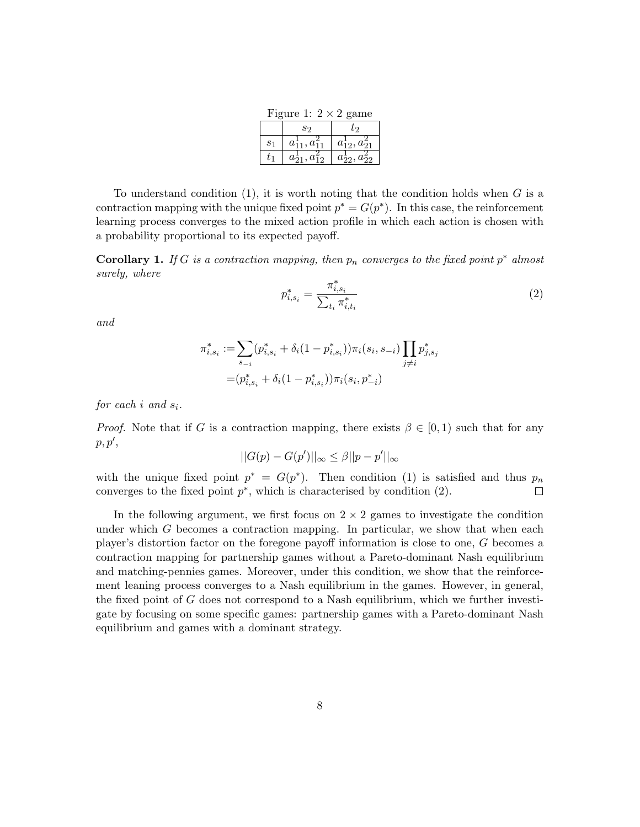Figure 1:  $2 \times 2$  game  $s_2$   $t_2$  $s_1$  $\frac{1}{11}$ ,  $a_1^2$  $\begin{array}{c|c} 2 & a_{12}^1, a_{21}^2 \end{array}$  $t_1$ 1  $\frac{1}{21}, a_{12}^2 \mid a$ 1  $\frac{1}{22}$ ,  $a_2^2$ 22

To understand condition  $(1)$ , it is worth noting that the condition holds when G is a contraction mapping with the unique fixed point  $p^* = G(p^*)$ . In this case, the reinforcement learning process converges to the mixed action profile in which each action is chosen with a probability proportional to its expected payoff.

**Corollary 1.** If G is a contraction mapping, then  $p_n$  converges to the fixed point  $p^*$  almost surely, where

$$
p_{i,s_i}^* = \frac{\pi_{i,s_i}^*}{\sum_{t_i} \pi_{i,t_i}^*}
$$
 (2)

and

$$
\pi_{i,s_i}^* := \sum_{s_{-i}} (p_{i,s_i}^* + \delta_i (1 - p_{i,s_i}^*)) \pi_i(s_i, s_{-i}) \prod_{j \neq i} p_{j,s_j}^*
$$

$$
= (p_{i,s_i}^* + \delta_i (1 - p_{i,s_i}^*)) \pi_i(s_i, p_{-i}^*)
$$

for each i and  $s_i$ .

*Proof.* Note that if G is a contraction mapping, there exists  $\beta \in [0, 1)$  such that for any  $p, p',$ 

$$
||G(p) - G(p')||_{\infty} \leq \beta ||p - p'||_{\infty}
$$

with the unique fixed point  $p^* = G(p^*)$ . Then condition (1) is satisfied and thus  $p_n$ converges to the fixed point  $p^*$ , which is characterised by condition  $(2)$ .  $\Box$ 

In the following argument, we first focus on  $2 \times 2$  games to investigate the condition under which  $G$  becomes a contraction mapping. In particular, we show that when each player's distortion factor on the foregone payoff information is close to one, G becomes a contraction mapping for partnership games without a Pareto-dominant Nash equilibrium and matching-pennies games. Moreover, under this condition, we show that the reinforcement leaning process converges to a Nash equilibrium in the games. However, in general, the fixed point of G does not correspond to a Nash equilibrium, which we further investigate by focusing on some specific games: partnership games with a Pareto-dominant Nash equilibrium and games with a dominant strategy.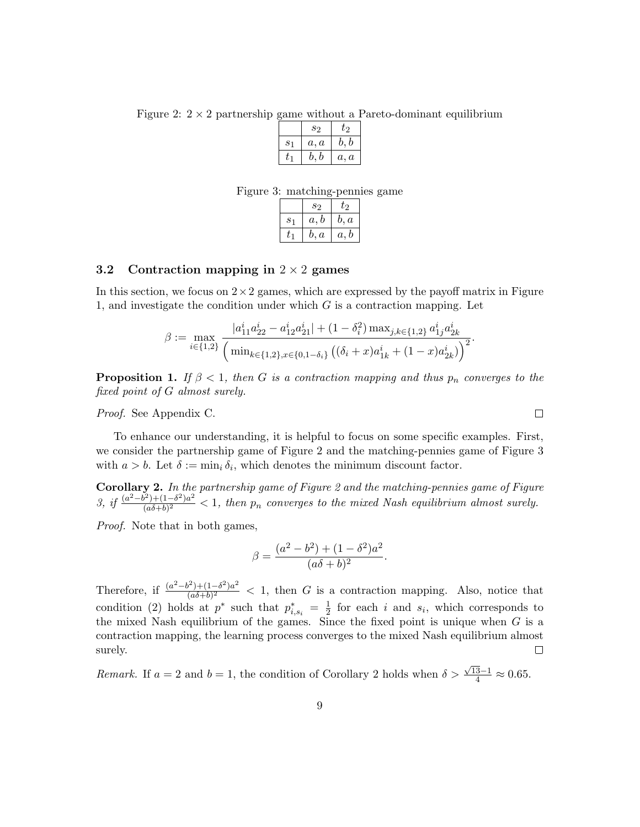Figure 2:  $2 \times 2$  partnership game without a Pareto-dominant equilibrium

|                | S <sub>2</sub> | t2   |
|----------------|----------------|------|
| S <sub>1</sub> | a, a           | b, b |
|                | b, b           | a, a |

Figure 3: matching-pennies game

|       | S <sub>2</sub> | t2   |
|-------|----------------|------|
| $S_1$ | a, b           | b, a |
|       | b, a           | a, b |

#### 3.2 Contraction mapping in  $2 \times 2$  games

In this section, we focus on  $2 \times 2$  games, which are expressed by the payoff matrix in Figure 1, and investigate the condition under which  $G$  is a contraction mapping. Let

$$
\beta := \max_{i \in \{1,2\}} \frac{|a_{11}^i a_{22}^i - a_{12}^i a_{21}^i| + (1 - \delta_i^2) \max_{j,k \in \{1,2\}} a_{1j}^i a_{2k}^i}{\left(\min_{k \in \{1,2\}, x \in \{0,1-\delta_i\}} \left((\delta_i + x) a_{1k}^i + (1 - x) a_{2k}^i\right)\right)^2}.
$$

**Proposition 1.** If  $\beta < 1$ , then G is a contraction mapping and thus  $p_n$  converges to the fixed point of G almost surely.

Proof. See Appendix C.

To enhance our understanding, it is helpful to focus on some specific examples. First, we consider the partnership game of Figure 2 and the matching-pennies game of Figure 3 with  $a > b$ . Let  $\delta := \min_i \delta_i$ , which denotes the minimum discount factor.

Corollary 2. In the partnership game of Figure 2 and the matching-pennies game of Figure 3, if  $\frac{(a^2-b^2)+(1-\delta^2)a^2}{(a\delta+b)^2}$  $\frac{(\alpha\delta+b)^2}{(\alpha\delta+b)^2}$  < 1, then  $p_n$  converges to the mixed Nash equilibrium almost surely.

Proof. Note that in both games,

$$
\beta = \frac{(a^2 - b^2) + (1 - \delta^2)a^2}{(a\delta + b)^2}
$$

.

Therefore, if  $\frac{(a^2-b^2)+(1-\delta^2)a^2}{(a\delta+b)^2}$  $\frac{f^2 + (1 - \sigma^2)a^2}{(\sigma \delta + b)^2}$  < 1, then G is a contraction mapping. Also, notice that condition (2) holds at  $p^*$  such that  $p^*_{i,s_i} = \frac{1}{2}$  $\frac{1}{2}$  for each i and  $s_i$ , which corresponds to the mixed Nash equilibrium of the games. Since the fixed point is unique when  $G$  is a contraction mapping, the learning process converges to the mixed Nash equilibrium almost surely.  $\Box$ 

*Remark.* If  $a = 2$  and  $b = 1$ , the condition of Corollary 2 holds when  $\delta >$  $\frac{\sqrt{13}-1}{4} \approx 0.65.$ 

 $\Box$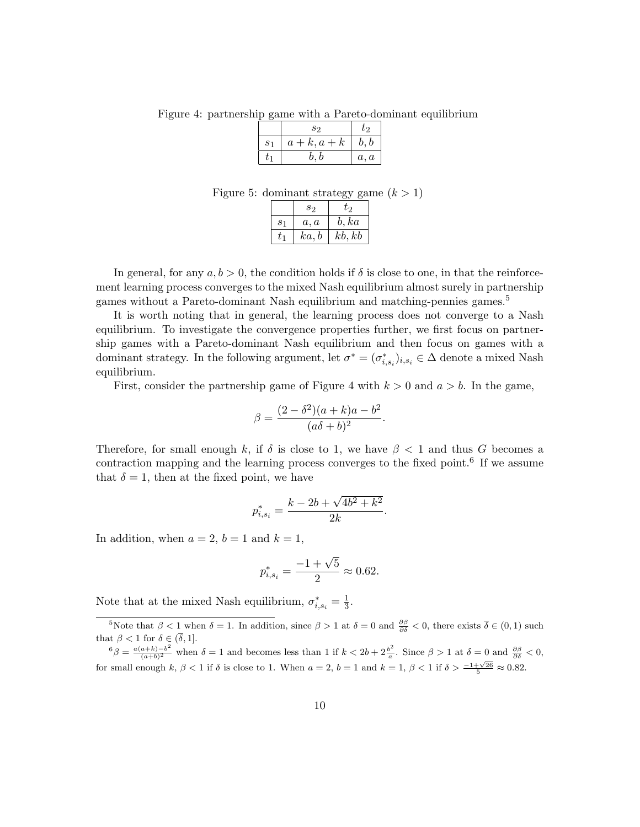Figure 4: partnership game with a Pareto-dominant equilibrium

|                | S2         | U9.  |
|----------------|------------|------|
| S <sub>1</sub> | $a+k, a+k$ | b, b |
|                | b, b       | a, a |

Figure 5: dominant strategy game  $(k > 1)$ 

|                | S <sub>2</sub> | t2     |
|----------------|----------------|--------|
| S <sub>1</sub> | a, a           | b, ka  |
|                | ka, b          | kb, kb |

In general, for any  $a, b > 0$ , the condition holds if  $\delta$  is close to one, in that the reinforcement learning process converges to the mixed Nash equilibrium almost surely in partnership games without a Pareto-dominant Nash equilibrium and matching-pennies games.<sup>5</sup>

It is worth noting that in general, the learning process does not converge to a Nash equilibrium. To investigate the convergence properties further, we first focus on partnership games with a Pareto-dominant Nash equilibrium and then focus on games with a dominant strategy. In the following argument, let  $\sigma^* = (\sigma^*_{i,s_i})_{i,s_i} \in \Delta$  denote a mixed Nash equilibrium.

First, consider the partnership game of Figure 4 with  $k > 0$  and  $a > b$ . In the game,

$$
\beta = \frac{(2 - \delta^2)(a + k)a - b^2}{(a\delta + b)^2}
$$

.

Therefore, for small enough k, if  $\delta$  is close to 1, we have  $\beta < 1$  and thus G becomes a contraction mapping and the learning process converges to the fixed point.<sup>6</sup> If we assume that  $\delta = 1$ , then at the fixed point, we have

$$
p_{i,s_i}^* = \frac{k - 2b + \sqrt{4b^2 + k^2}}{2k}.
$$

In addition, when  $a = 2$ ,  $b = 1$  and  $k = 1$ ,

$$
p_{i,s_i}^* = \frac{-1 + \sqrt{5}}{2} \approx 0.62.
$$

Note that at the mixed Nash equilibrium,  $\sigma_{i,s_i}^* = \frac{1}{3}$  $\frac{1}{3}$ .

<sup>&</sup>lt;sup>5</sup>Note that  $\beta < 1$  when  $\delta = 1$ . In addition, since  $\beta > 1$  at  $\delta = 0$  and  $\frac{\partial \beta}{\partial \delta} < 0$ , there exists  $\overline{\delta} \in (0,1)$  such that  $\beta < 1$  for  $\delta \in (\overline{\delta}, 1]$ .

 $^6\beta = \frac{a(a+k)-b^2}{(a+b)^2}$  $\frac{(a+k)-b^2}{(a+b)^2}$  when  $\delta = 1$  and becomes less than 1 if  $k < 2b + 2\frac{b^2}{a}$  $\frac{\partial^2}{\partial a}$ . Since  $\beta > 1$  at  $\delta = 0$  and  $\frac{\partial \beta}{\partial \delta} < 0$ , for small enough k,  $\beta < 1$  if  $\delta$  is close to 1. When  $a = 2$ ,  $b = 1$  and  $k = 1$ ,  $\beta < 1$  if  $\delta > \frac{-1 + \sqrt{26}}{5} \approx 0.82$ .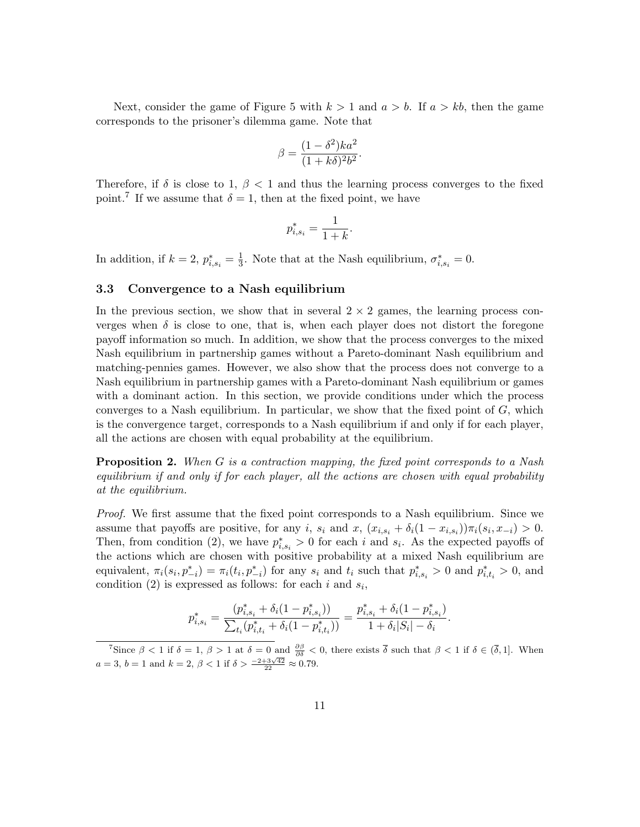Next, consider the game of Figure 5 with  $k > 1$  and  $a > b$ . If  $a > kb$ , then the game corresponds to the prisoner's dilemma game. Note that

$$
\beta = \frac{(1 - \delta^2)ka^2}{(1 + k\delta)^2 b^2}.
$$

Therefore, if  $\delta$  is close to 1,  $\beta$  < 1 and thus the learning process converges to the fixed point.<sup>7</sup> If we assume that  $\delta = 1$ , then at the fixed point, we have

$$
p_{i,s_i}^* = \frac{1}{1+k}
$$

.

In addition, if  $k = 2$ ,  $p_{i,s_i}^* = \frac{1}{3}$  $\frac{1}{3}$ . Note that at the Nash equilibrium,  $\sigma_{i,s_i}^* = 0$ .

#### 3.3 Convergence to a Nash equilibrium

In the previous section, we show that in several  $2 \times 2$  games, the learning process converges when  $\delta$  is close to one, that is, when each player does not distort the foregone payoff information so much. In addition, we show that the process converges to the mixed Nash equilibrium in partnership games without a Pareto-dominant Nash equilibrium and matching-pennies games. However, we also show that the process does not converge to a Nash equilibrium in partnership games with a Pareto-dominant Nash equilibrium or games with a dominant action. In this section, we provide conditions under which the process converges to a Nash equilibrium. In particular, we show that the fixed point of  $G$ , which is the convergence target, corresponds to a Nash equilibrium if and only if for each player, all the actions are chosen with equal probability at the equilibrium.

**Proposition 2.** When G is a contraction mapping, the fixed point corresponds to a Nash equilibrium if and only if for each player, all the actions are chosen with equal probability at the equilibrium.

Proof. We first assume that the fixed point corresponds to a Nash equilibrium. Since we assume that payoffs are positive, for any i,  $s_i$  and  $x$ ,  $(x_{i,s_i} + \delta_i(1-x_{i,s_i}))\pi_i(s_i, x_{-i}) > 0$ . Then, from condition (2), we have  $p_{i,s_i}^* > 0$  for each i and  $s_i$ . As the expected payoffs of the actions which are chosen with positive probability at a mixed Nash equilibrium are equivalent,  $\pi_i(s_i, p_{-i}^*) = \pi_i(t_i, p_{-i}^*)$  for any  $s_i$  and  $t_i$  such that  $p_{i,s_i}^* > 0$  and  $p_{i,t_i}^* > 0$ , and condition (2) is expressed as follows: for each i and  $s_i$ ,

$$
p_{i,s_i}^* = \frac{(p_{i,s_i}^* + \delta_i(1-p_{i,s_i}^*))}{\sum_{t_i}(p_{i,t_i}^* + \delta_i(1-p_{i,t_i}^*))} = \frac{p_{i,s_i}^* + \delta_i(1-p_{i,s_i}^*)}{1 + \delta_i|S_i| - \delta_i}.
$$

<sup>&</sup>lt;sup>7</sup>Since  $\beta < 1$  if  $\delta = 1$ ,  $\beta > 1$  at  $\delta = 0$  and  $\frac{\partial \beta}{\partial \delta} < 0$ , there exists  $\overline{\delta}$  such that  $\beta < 1$  if  $\delta \in (\overline{\delta}, 1]$ . When  $a = 3$ ,  $b = 1$  and  $k = 2$ ,  $\beta < 1$  if  $\delta > \frac{-2+3\sqrt{42}}{22} \approx 0.79$ .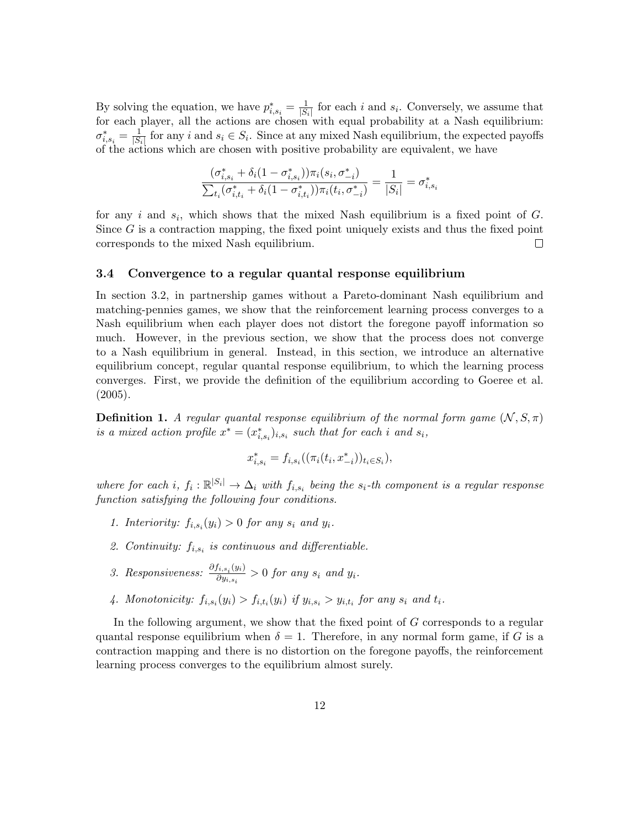By solving the equation, we have  $p_{i,s_i}^* = \frac{1}{|S_i|}$  $\frac{1}{|S_i|}$  for each i and  $s_i$ . Conversely, we assume that for each player, all the actions are chosen with equal probability at a Nash equilibrium:  $\sigma_{i,s_i}^*=\frac{1}{|S_i|}$  $\frac{1}{|S_i|}$  for any i and  $s_i \in S_i$ . Since at any mixed Nash equilibrium, the expected payoffs of the actions which are chosen with positive probability are equivalent, we have

$$
\frac{(\sigma_{i,s_i}^* + \delta_i(1-\sigma_{i,s_i}^*))\pi_i(s_i,\sigma_{-i}^*)}{\sum_{t_i}(\sigma_{i,t_i}^* + \delta_i(1-\sigma_{i,t_i}^*))\pi_i(t_i,\sigma_{-i}^*)} = \frac{1}{|S_i|} = \sigma_{i,s_i}^*
$$

for any i and  $s_i$ , which shows that the mixed Nash equilibrium is a fixed point of G. Since  $G$  is a contraction mapping, the fixed point uniquely exists and thus the fixed point corresponds to the mixed Nash equilibrium. П

#### 3.4 Convergence to a regular quantal response equilibrium

In section 3.2, in partnership games without a Pareto-dominant Nash equilibrium and matching-pennies games, we show that the reinforcement learning process converges to a Nash equilibrium when each player does not distort the foregone payoff information so much. However, in the previous section, we show that the process does not converge to a Nash equilibrium in general. Instead, in this section, we introduce an alternative equilibrium concept, regular quantal response equilibrium, to which the learning process converges. First, we provide the definition of the equilibrium according to Goeree et al. (2005).

**Definition 1.** A regular quantal response equilibrium of the normal form game  $(N, S, \pi)$ is a mixed action profile  $x^* = (x^*_{i,s_i})_{i,s_i}$  such that for each i and  $s_i$ ,

$$
x_{i,s_i}^* = f_{i,s_i}((\pi_i(t_i, x_{-i}^*))_{t_i \in S_i}),
$$

where for each i,  $f_i: \mathbb{R}^{|S_i|} \to \Delta_i$  with  $f_{i,s_i}$  being the  $s_i$ -th component is a regular response function satisfying the following four conditions.

- 1. Interiority:  $f_{i,s_i}(y_i) > 0$  for any  $s_i$  and  $y_i$ .
- 2. Continuity:  $f_{i,s_i}$  is continuous and differentiable.
- 3. Responsiveness:  $\frac{\partial f_{i,s_i}(y_i)}{\partial y_i}$  $\frac{\partial i_s s_i \langle y_i \rangle}{\partial y_{i,s_i}} > 0$  for any  $s_i$  and  $y_i$ .
- 4. Monotonicity:  $f_{i,s_i}(y_i) > f_{i,t_i}(y_i)$  if  $y_{i,s_i} > y_{i,t_i}$  for any  $s_i$  and  $t_i$ .

In the following argument, we show that the fixed point of G corresponds to a regular quantal response equilibrium when  $\delta = 1$ . Therefore, in any normal form game, if G is a contraction mapping and there is no distortion on the foregone payoffs, the reinforcement learning process converges to the equilibrium almost surely.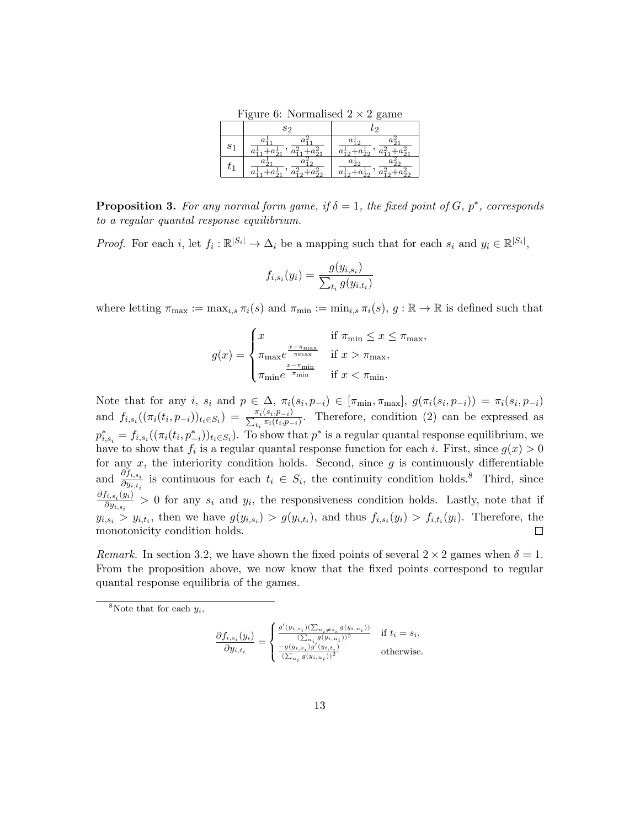Figure 6: Normalised  $2 \times 2$  game

|                | S9                         | ŢЭ                               |
|----------------|----------------------------|----------------------------------|
| S <sub>1</sub> |                            | ، ،                              |
| U1             | z<br>$a_{22}^2$<br>$a_1^1$ | $a_{12}^{\perp}$ .<br>$a_{22}^*$ |

**Proposition 3.** For any normal form game, if  $\delta = 1$ , the fixed point of G,  $p^*$ , corresponds to a regular quantal response equilibrium.

*Proof.* For each i, let  $f_i: \mathbb{R}^{|S_i|} \to \Delta_i$  be a mapping such that for each  $s_i$  and  $y_i \in \mathbb{R}^{|S_i|}$ ,

$$
f_{i,s_i}(y_i) = \frac{g(y_{i,s_i})}{\sum_{t_i} g(y_{i,t_i})}
$$

where letting  $\pi_{\max} := \max_{i,s} \pi_i(s)$  and  $\pi_{\min} := \min_{i,s} \pi_i(s)$ ,  $g : \mathbb{R} \to \mathbb{R}$  is defined such that

$$
g(x) = \begin{cases} x & \text{if } \pi_{\min} \leq x \leq \pi_{\max}, \\ \pi_{\max} e^{\frac{x - \pi_{\max}}{\pi_{\max}}} & \text{if } x > \pi_{\max}, \\ \pi_{\min} e^{\frac{x - \pi_{\min}}{\pi_{\min}}} & \text{if } x < \pi_{\min}. \end{cases}
$$

Note that for any i,  $s_i$  and  $p \in \Delta$ ,  $\pi_i(s_i, p_{-i}) \in [\pi_{\min}, \pi_{\max}], g(\pi_i(s_i, p_{-i})) = \pi_i(s_i, p_{-i})$ and  $f_{i,s_i}((\pi_i(t_i,p_{-i}))_{t_i \in S_i}) = \frac{\pi_i(s_i,p_{-i})}{\sum_{t_i} \pi_i(t_i,p_{-i})}$ . Therefore, condition (2) can be expressed as  $p_{i,s_i}^* = f_{i,s_i}((\pi_i(t_i, p_{-i}^*))_{t_i \in S_i})$ . To show that  $p^*$  is a regular quantal response equilibrium, we have to show that  $f_i$  is a regular quantal response function for each i. First, since  $g(x) > 0$ for any  $x$ , the interiority condition holds. Second, since  $g$  is continuously differentiable and  $\frac{\partial f_{i,s_i}}{\partial y_{i,t_i}}$  is continuous for each  $t_i \in S_i$ , the continuity condition holds.<sup>8</sup> Third, since  $\partial f_{i,s_i}(y_i)$  $\frac{\partial u_i s_i(\hat{y}_i)}{\partial y_{i,s_i}} > 0$  for any  $s_i$  and  $y_i$ , the responsiveness condition holds. Lastly, note that if  $y_{i,s_i} > y_{i,t_i}$ , then we have  $g(y_{i,s_i}) > g(y_{i,t_i})$ , and thus  $f_{i,s_i}(y_i) > f_{i,t_i}(y_i)$ . Therefore, the monotonicity condition holds.  $\Box$ 

Remark. In section 3.2, we have shown the fixed points of several  $2 \times 2$  games when  $\delta = 1$ . From the proposition above, we now know that the fixed points correspond to regular quantal response equilibria of the games.

<sup>8</sup>Note that for each  $y_i$ ,

$$
\frac{\partial f_{i,s_i}(y_i)}{\partial y_{i,t_i}} = \begin{cases} \frac{g'(y_{i,s_i})(\sum_{u_i \neq s_i} g(y_{i,u_i}))}{(\sum_{u_i} g(y_{i,u_i}))^2} & \text{if } t_i = s_i, \\ \frac{-g(y_{i,s_i})g'(y_{i,t_i})}{(\sum_{u_i} g(y_{i,u_i}))^2} & \text{otherwise.} \end{cases}
$$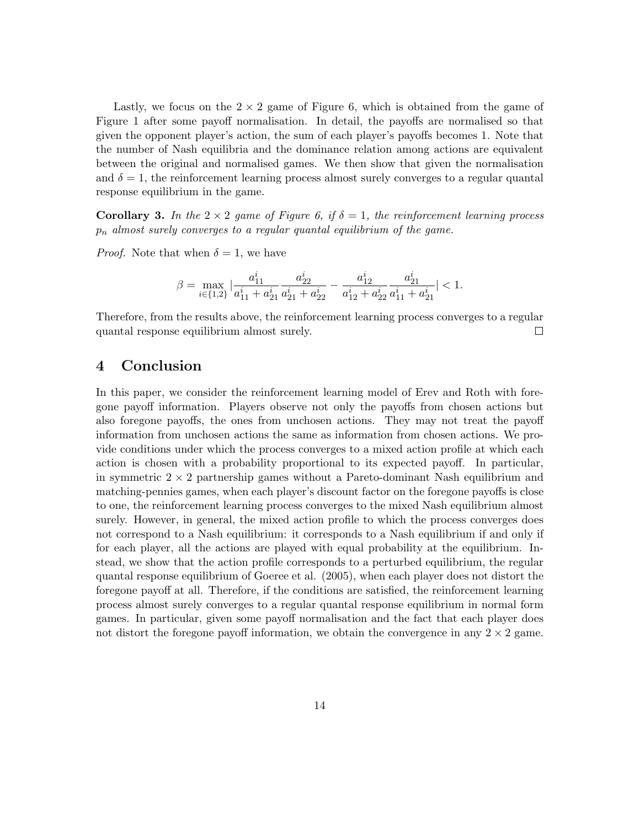Lastly, we focus on the  $2 \times 2$  game of Figure 6, which is obtained from the game of Figure 1 after some payoff normalisation. In detail, the payoffs are normalised so that given the opponent player's action, the sum of each player's payoffs becomes 1. Note that the number of Nash equilibria and the dominance relation among actions are equivalent between the original and normalised games. We then show that given the normalisation and  $\delta = 1$ , the reinforcement learning process almost surely converges to a regular quantal response equilibrium in the game.

**Corollary 3.** In the  $2 \times 2$  game of Figure 6, if  $\delta = 1$ , the reinforcement learning process  $p_n$  almost surely converges to a regular quantal equilibrium of the game.

*Proof.* Note that when  $\delta = 1$ , we have

$$
\beta=\max_{i\in\{1,2\}}|\frac{a^i_{11}}{a^i_{11}+a^i_{21}}\frac{a^i_{22}}{a^i_{21}+a^i_{22}}-\frac{a^i_{12}}{a^i_{12}+a^i_{22}}\frac{a^i_{21}}{a^i_{11}+a^i_{21}}|<1.
$$

Therefore, from the results above, the reinforcement learning process converges to a regular quantal response equilibrium almost surely.  $\Box$ 

## 4 Conclusion

In this paper, we consider the reinforcement learning model of Erev and Roth with foregone payoff information. Players observe not only the payoffs from chosen actions but also foregone payoffs, the ones from unchosen actions. They may not treat the payoff information from unchosen actions the same as information from chosen actions. We provide conditions under which the process converges to a mixed action profile at which each action is chosen with a probability proportional to its expected payoff. In particular, in symmetric  $2 \times 2$  partnership games without a Pareto-dominant Nash equilibrium and matching-pennies games, when each player's discount factor on the foregone payoffs is close to one, the reinforcement learning process converges to the mixed Nash equilibrium almost surely. However, in general, the mixed action profile to which the process converges does not correspond to a Nash equilibrium: it corresponds to a Nash equilibrium if and only if for each player, all the actions are played with equal probability at the equilibrium. Instead, we show that the action profile corresponds to a perturbed equilibrium, the regular quantal response equilibrium of Goeree et al. (2005), when each player does not distort the foregone payoff at all. Therefore, if the conditions are satisfied, the reinforcement learning process almost surely converges to a regular quantal response equilibrium in normal form games. In particular, given some payoff normalisation and the fact that each player does not distort the foregone payoff information, we obtain the convergence in any  $2 \times 2$  game.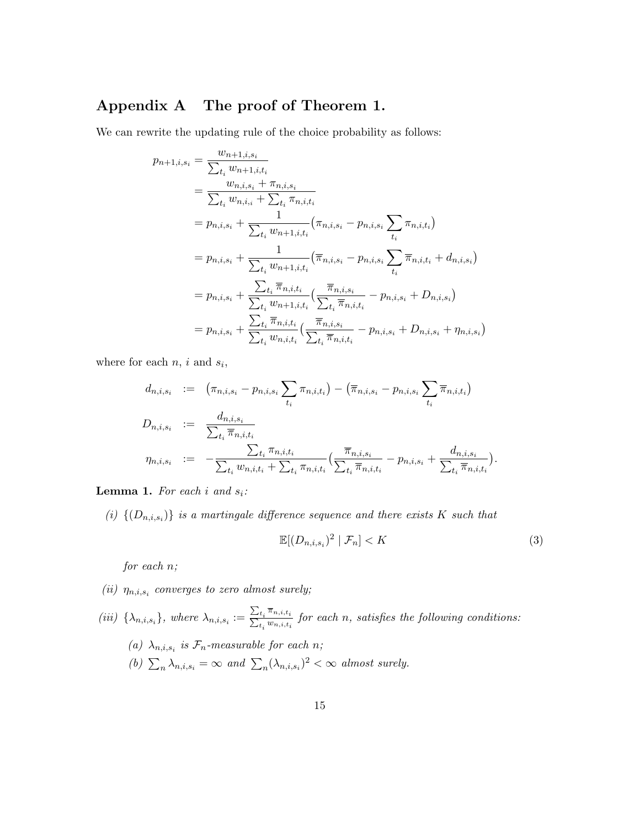## Appendix A The proof of Theorem 1.

We can rewrite the updating rule of the choice probability as follows:

$$
p_{n+1,i,s_i} = \frac{w_{n+1,i,s_i}}{\sum_{t_i} w_{n+1,i,t_i}} \n= \frac{w_{n,i,s_i} + \pi_{n,i,s_i}}{\sum_{t_i} w_{n,i,i} + \sum_{t_i} \pi_{n,i,t_i}} \n= p_{n,i,s_i} + \frac{1}{\sum_{t_i} w_{n+1,i,t_i}} (\pi_{n,i,s_i} - p_{n,i,s_i} \sum_{t_i} \pi_{n,i,t_i}) \n= p_{n,i,s_i} + \frac{1}{\sum_{t_i} w_{n+1,i,t_i}} (\overline{\pi}_{n,i,s_i} - p_{n,i,s_i} \sum_{t_i} \overline{\pi}_{n,i,t_i} + d_{n,i,s_i}) \n= p_{n,i,s_i} + \frac{\sum_{t_i} \overline{\pi}_{n,i,t_i}}{\sum_{t_i} w_{n+1,i,t_i}} (\frac{\overline{\pi}_{n,i,s_i}}{\sum_{t_i} \overline{\pi}_{n,i,t_i}} - p_{n,i,s_i} + D_{n,i,s_i}) \n= p_{n,i,s_i} + \frac{\sum_{t_i} \overline{\pi}_{n,i,t_i}}{\sum_{t_i} \overline{\pi}_{n,i,t_i}} (\frac{\overline{\pi}_{n,i,s_i}}{\sum_{t_i} \overline{\pi}_{n,i,t_i}} - p_{n,i,s_i} + D_{n,i,s_i} + \eta_{n,i,s_i})
$$

where for each  $n, i$  and  $s_i$ ,

$$
d_{n,i,s_i} := (\pi_{n,i,s_i} - p_{n,i,s_i} \sum_{t_i} \pi_{n,i,t_i}) - (\overline{\pi}_{n,i,s_i} - p_{n,i,s_i} \sum_{t_i} \overline{\pi}_{n,i,t_i})
$$
  
\n
$$
D_{n,i,s_i} := \frac{d_{n,i,s_i}}{\sum_{t_i} \overline{\pi}_{n,i,t_i}} \sum_{t_i \pi_{n,i,t_i}} \frac{\pi_{n,i,s_i}}{\sum_{t_i} \overline{\pi}_{n,i,t_i}} - p_{n,i,s_i} + \frac{d_{n,i,s_i}}{\sum_{t_i} \overline{\pi}_{n,i,t_i}}.
$$

**Lemma 1.** For each i and  $s_i$ :

(i)  $\{(D_{n,i,s_i})\}$  is a martingale difference sequence and there exists K such that

$$
\mathbb{E}[(D_{n,i,s_i})^2 \mid \mathcal{F}_n] < K \tag{3}
$$

for each n;

- (ii)  $\eta_{n,i,s_i}$  converges to zero almost surely;
- (iii)  $\{\lambda_{n,i,s_i}\}\$ , where  $\lambda_{n,i,s_i} := \frac{\sum_{t_i} \overline{\pi}_{n,i,t_i}}{\sum_{t_i} w_{n,i,t_i}}$  for each n, satisfies the following conditions: (a)  $\lambda_{n,i,s_i}$  is  $\mathcal{F}_n$ -measurable for each n; (b)  $\sum_{n} \lambda_{n,i,s_i} = \infty$  and  $\sum_{n} (\lambda_{n,i,s_i})^2 < \infty$  almost surely.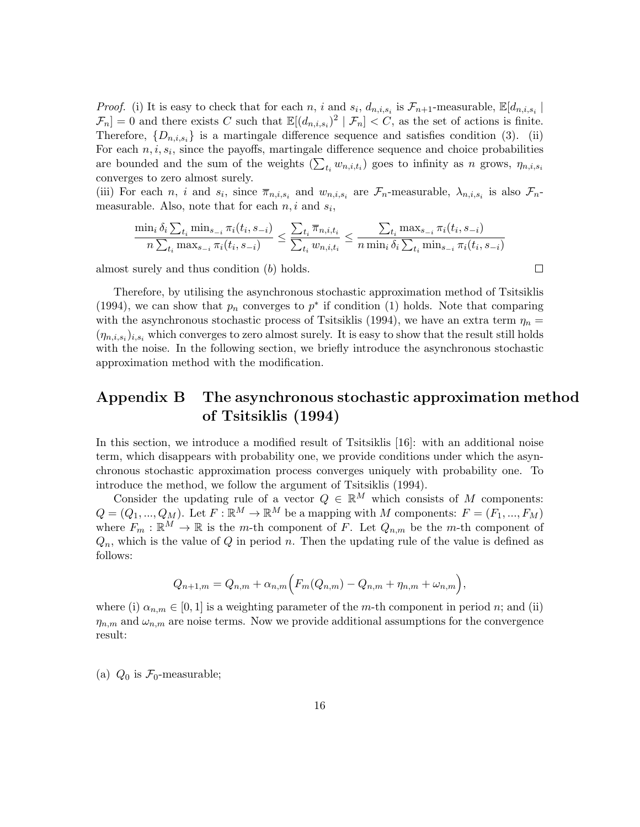*Proof.* (i) It is easy to check that for each n, i and  $s_i$ ,  $d_{n,i,s_i}$  is  $\mathcal{F}_{n+1}$ -measurable,  $\mathbb{E}[d_{n,i,s_i}]$  $\mathcal{F}_n$  = 0 and there exists C such that  $\mathbb{E}[(d_{n,i,s_i})^2 | \mathcal{F}_n] < C$ , as the set of actions is finite. Therefore,  $\{D_{n,i,s_i}\}\$ is a martingale difference sequence and satisfies condition (3). (ii) For each  $n, i, s_i$ , since the payoffs, martingale difference sequence and choice probabilities are bounded and the sum of the weights  $(\sum_{t_i} w_{n,i,t_i})$  goes to infinity as n grows,  $\eta_{n,i,s_i}$ converges to zero almost surely.

(iii) For each n, i and  $s_i$ , since  $\overline{\pi}_{n,i,s_i}$  and  $w_{n,i,s_i}$  are  $\mathcal{F}_n$ -measurable,  $\lambda_{n,i,s_i}$  is also  $\mathcal{F}_n$ measurable. Also, note that for each  $n, i$  and  $s_i$ ,

$$
\frac{\min_{i} \delta_{i} \sum_{t_{i}} \min_{s_{-i}} \pi_{i}(t_{i}, s_{-i})}{n \sum_{t_{i}} \max_{s_{-i}} \pi_{i}(t_{i}, s_{-i})} \leq \frac{\sum_{t_{i}} \overline{\pi}_{n, i, t_{i}}}{\sum_{t_{i}} w_{n, i, t_{i}}} \leq \frac{\sum_{t_{i}} \max_{s_{-i}} \pi_{i}(t_{i}, s_{-i})}{n \min_{i} \delta_{i} \sum_{t_{i}} \min_{s_{-i}} \pi_{i}(t_{i}, s_{-i})}
$$

almost surely and thus condition (b) holds.

Therefore, by utilising the asynchronous stochastic approximation method of Tsitsiklis (1994), we can show that  $p_n$  converges to  $p^*$  if condition (1) holds. Note that comparing with the asynchronous stochastic process of Tsitsiklis (1994), we have an extra term  $\eta_n =$  $(\eta_{n,i,s_i})_{i,s_i}$  which converges to zero almost surely. It is easy to show that the result still holds with the noise. In the following section, we briefly introduce the asynchronous stochastic approximation method with the modification.

## Appendix B The asynchronous stochastic approximation method of Tsitsiklis (1994)

In this section, we introduce a modified result of Tsitsiklis [16]: with an additional noise term, which disappears with probability one, we provide conditions under which the asynchronous stochastic approximation process converges uniquely with probability one. To introduce the method, we follow the argument of Tsitsiklis (1994).

Consider the updating rule of a vector  $Q \in \mathbb{R}^M$  which consists of M components:  $Q = (Q_1, ..., Q_M)$ . Let  $F : \mathbb{R}^M \to \mathbb{R}^M$  be a mapping with M components:  $F = (F_1, ..., F_M)$ where  $F_m : \mathbb{R}^M \to \mathbb{R}$  is the m-th component of F. Let  $Q_{n,m}$  be the m-th component of  $Q_n$ , which is the value of  $Q$  in period n. Then the updating rule of the value is defined as follows:

$$
Q_{n+1,m} = Q_{n,m} + \alpha_{n,m} (F_m(Q_{n,m}) - Q_{n,m} + \eta_{n,m} + \omega_{n,m}),
$$

where (i)  $\alpha_{n,m} \in [0,1]$  is a weighting parameter of the m-th component in period n; and (ii)  $\eta_{n,m}$  and  $\omega_{n,m}$  are noise terms. Now we provide additional assumptions for the convergence result:

(a)  $Q_0$  is  $\mathcal{F}_0$ -measurable;

 $\Box$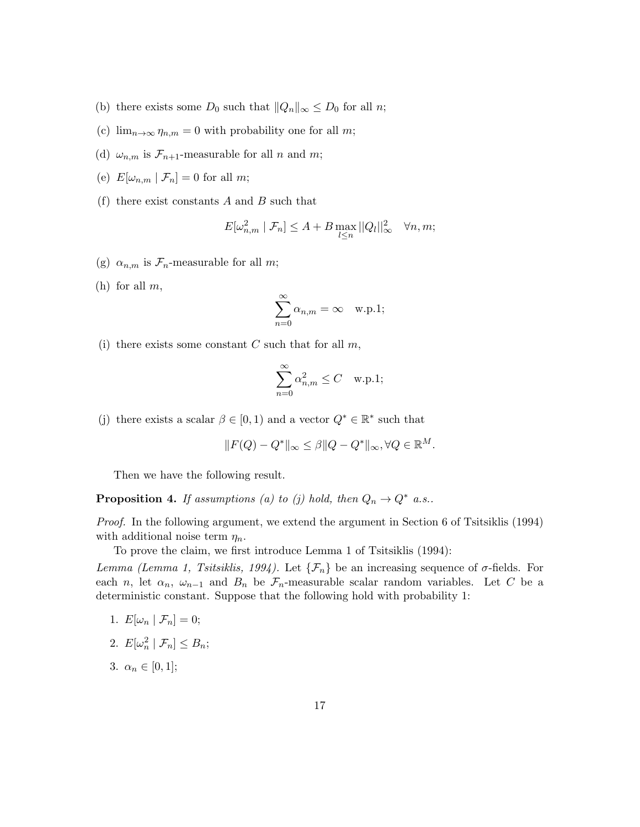- (b) there exists some  $D_0$  such that  $||Q_n||_{\infty} \leq D_0$  for all n;
- (c)  $\lim_{n\to\infty}\eta_{n,m}=0$  with probability one for all m;
- (d)  $\omega_{n,m}$  is  $\mathcal{F}_{n+1}$ -measurable for all n and m;
- (e)  $E[\omega_{n,m} | \mathcal{F}_n] = 0$  for all m;
- (f) there exist constants  $A$  and  $B$  such that

$$
E[\omega_{n,m}^2 \mid \mathcal{F}_n] \le A + B \max_{l \le n} ||Q_l||_{\infty}^2 \quad \forall n, m;
$$

- (g)  $\alpha_{n,m}$  is  $\mathcal{F}_n$ -measurable for all m;
- (h) for all  $m$ ,

$$
\sum_{n=0}^{\infty} \alpha_{n,m} = \infty \quad \text{w.p.1};
$$

(i) there exists some constant  $C$  such that for all  $m$ ,

$$
\sum_{n=0}^{\infty} \alpha_{n,m}^2 \le C \quad \text{w.p.1};
$$

(j) there exists a scalar  $\beta \in [0,1)$  and a vector  $Q^* \in \mathbb{R}^*$  such that

$$
||F(Q) - Q^*||_{\infty} \le \beta ||Q - Q^*||_{\infty}, \forall Q \in \mathbb{R}^M.
$$

Then we have the following result.

**Proposition 4.** If assumptions (a) to (j) hold, then  $Q_n \to Q^*$  a.s..

Proof. In the following argument, we extend the argument in Section 6 of Tsitsiklis (1994) with additional noise term  $\eta_n$ .

To prove the claim, we first introduce Lemma 1 of Tsitsiklis (1994):

Lemma (Lemma 1, Tsitsiklis, 1994). Let  $\{\mathcal{F}_n\}$  be an increasing sequence of  $\sigma$ -fields. For each n, let  $\alpha_n$ ,  $\omega_{n-1}$  and  $B_n$  be  $\mathcal{F}_n$ -measurable scalar random variables. Let C be a deterministic constant. Suppose that the following hold with probability 1:

- 1.  $E[\omega_n | \mathcal{F}_n] = 0;$
- 2.  $E[\omega_n^2 \mid \mathcal{F}_n] \leq B_n;$
- 3.  $\alpha_n \in [0,1]$ ;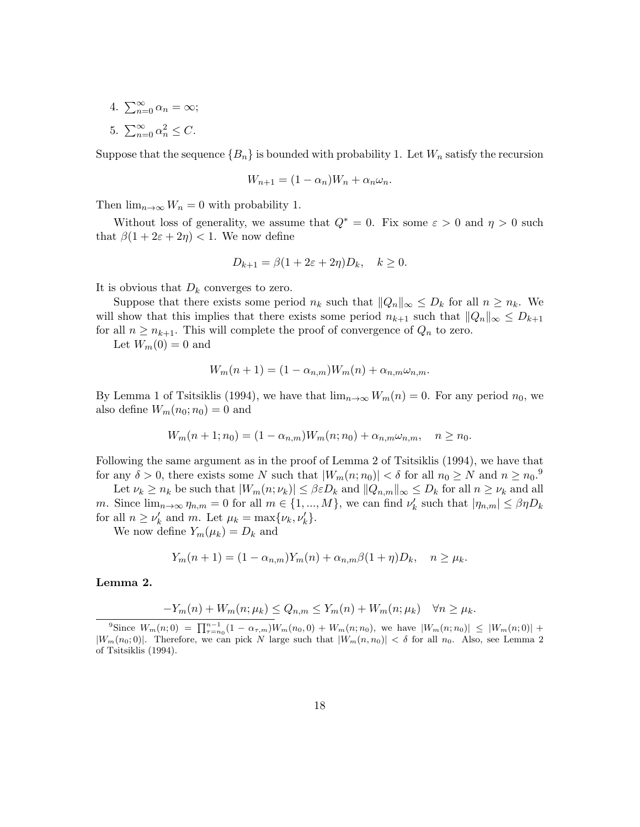- 4.  $\sum_{n=0}^{\infty} \alpha_n = \infty;$
- 5.  $\sum_{n=0}^{\infty} \alpha_n^2 \leq C$ .

Suppose that the sequence  ${B_n}$  is bounded with probability 1. Let  $W_n$  satisfy the recursion

$$
W_{n+1} = (1 - \alpha_n)W_n + \alpha_n \omega_n.
$$

Then  $\lim_{n\to\infty} W_n = 0$  with probability 1.

Without loss of generality, we assume that  $Q^* = 0$ . Fix some  $\varepsilon > 0$  and  $\eta > 0$  such that  $\beta(1+2\varepsilon+2\eta) < 1$ . We now define

$$
D_{k+1} = \beta(1 + 2\varepsilon + 2\eta)D_k, \quad k \ge 0.
$$

It is obvious that  $D_k$  converges to zero.

Suppose that there exists some period  $n_k$  such that  $||Q_n||_{\infty} \leq D_k$  for all  $n \geq n_k$ . We will show that this implies that there exists some period  $n_{k+1}$  such that  $||Q_n||_{\infty} \le D_{k+1}$ for all  $n \geq n_{k+1}$ . This will complete the proof of convergence of  $Q_n$  to zero.

Let  $W_m(0) = 0$  and

$$
W_m(n+1) = (1 - \alpha_{n,m})W_m(n) + \alpha_{n,m}\omega_{n,m}.
$$

By Lemma 1 of Tsitsiklis (1994), we have that  $\lim_{n\to\infty} W_m(n) = 0$ . For any period  $n_0$ , we also define  $W_m(n_0; n_0) = 0$  and

$$
W_m(n+1; n_0) = (1 - \alpha_{n,m}) W_m(n; n_0) + \alpha_{n,m} \omega_{n,m}, \quad n \ge n_0.
$$

Following the same argument as in the proof of Lemma 2 of Tsitsiklis (1994), we have that for any  $\delta > 0$ , there exists some N such that  $|W_m(n; n_0)| < \delta$  for all  $n_0 \geq N$  and  $n \geq n_0$ .<sup>9</sup>

Let  $\nu_k \ge n_k$  be such that  $|W_m(n; \nu_k)| \le \beta \varepsilon D_k$  and  $||Q_{n,m}||_{\infty} \le D_k$  for all  $n \ge \nu_k$  and all m. Since  $\lim_{n\to\infty} \eta_{n,m} = 0$  for all  $m \in \{1, ..., M\}$ , we can find  $\nu'_k$  such that  $|\eta_{n,m}| \leq \beta \eta D_k$ for all  $n \geq \nu'_k$  and m. Let  $\mu_k = \max\{\nu_k, \nu'_k\}.$ 

We now define  $Y_m(\mu_k) = D_k$  and

$$
Y_m(n + 1) = (1 - \alpha_{n,m}) Y_m(n) + \alpha_{n,m} \beta (1 + \eta) D_k, \quad n \ge \mu_k.
$$

Lemma 2.

$$
-Y_m(n) + W_m(n; \mu_k) \le Q_{n,m} \le Y_m(n) + W_m(n; \mu_k) \quad \forall n \ge \mu_k.
$$

 ${}^9$ Since  $W_m(n;0) = \prod_{\tau=n_0}^{n-1} (1 - \alpha_{\tau,m}) W_m(n_0,0) + W_m(n;n_0)$ , we have  $|W_m(n;n_0)| \leq |W_m(n;0)| +$  $|W_m(n_0; 0)|$ . Therefore, we can pick N large such that  $|W_m(n, n_0)| < \delta$  for all  $n_0$ . Also, see Lemma 2 of Tsitsiklis (1994).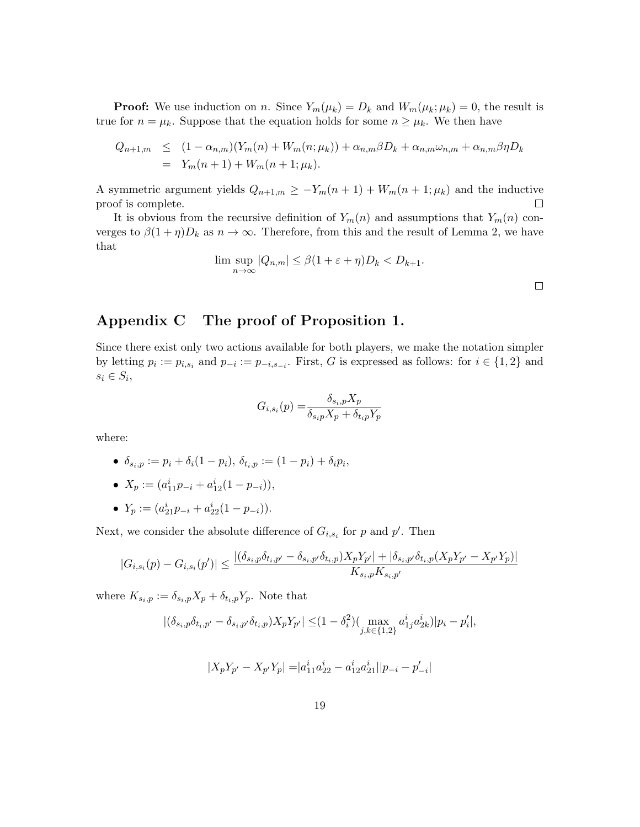**Proof:** We use induction on n. Since  $Y_m(\mu_k) = D_k$  and  $W_m(\mu_k; \mu_k) = 0$ , the result is true for  $n = \mu_k$ . Suppose that the equation holds for some  $n \geq \mu_k$ . We then have

$$
Q_{n+1,m} \leq (1 - \alpha_{n,m})(Y_m(n) + W_m(n; \mu_k)) + \alpha_{n,m}\beta D_k + \alpha_{n,m}\omega_{n,m} + \alpha_{n,m}\beta\eta D_k
$$
  
=  $Y_m(n+1) + W_m(n+1; \mu_k).$ 

A symmetric argument yields  $Q_{n+1,m} \geq -Y_m(n+1) + W_m(n+1; \mu_k)$  and the inductive proof is complete.  $\Box$ 

It is obvious from the recursive definition of  $Y_m(n)$  and assumptions that  $Y_m(n)$  converges to  $\beta(1+\eta)D_k$  as  $n \to \infty$ . Therefore, from this and the result of Lemma 2, we have that

$$
\limsup_{n \to \infty} |Q_{n,m}| \le \beta (1 + \varepsilon + \eta) D_k < D_{k+1}.
$$

## Appendix C The proof of Proposition 1.

Since there exist only two actions available for both players, we make the notation simpler by letting  $p_i := p_{i,s_i}$  and  $p_{-i} := p_{-i,s_{-i}}$ . First, G is expressed as follows: for  $i \in \{1,2\}$  and  $s_i \in S_i$ 

$$
G_{i,s_i}(p) = \frac{\delta_{s_i,p} X_p}{\delta_{s_i p} X_p + \delta_{t_i p} Y_p}
$$

where:

• 
$$
\delta_{s_i,p} := p_i + \delta_i (1 - p_i), \ \delta_{t_i,p} := (1 - p_i) + \delta_i p_i,
$$

• 
$$
X_p := (a_{11}^i p_{-i} + a_{12}^i (1 - p_{-i})),
$$

• 
$$
Y_p := (a_{21}^i p_{-i} + a_{22}^i (1 - p_{-i})).
$$

Next, we consider the absolute difference of  $G_{i,s_i}$  for p and p'. Then

$$
|G_{i,s_i}(p) - G_{i,s_i}(p')| \le \frac{|(\delta_{s_i,p}\delta_{t_i,p'} - \delta_{s_i,p'}\delta_{t_i,p})X_pY_{p'}| + |\delta_{s_i,p'}\delta_{t_i,p}(X_pY_{p'} - X_{p'}Y_p)|}{K_{s_i,p}K_{s_i,p'}}
$$

where  $K_{s_i,p} := \delta_{s_i,p} X_p + \delta_{t_i,p} Y_p$ . Note that

$$
|(\delta_{s_i,p}\delta_{t_i,p'}-\delta_{s_i,p'}\delta_{t_i,p})X_pY_{p'}|\leq (1-\delta_i^2)(\max_{j,k\in\{1,2\}} a_{1j}^ia_{2k}^i)|p_i-p_i'|,
$$

$$
|X_p Y_{p'} - X_{p'} Y_p| = |a_{11}^i a_{22}^i - a_{12}^i a_{21}^i||p_{-i} - p'_{-i}|
$$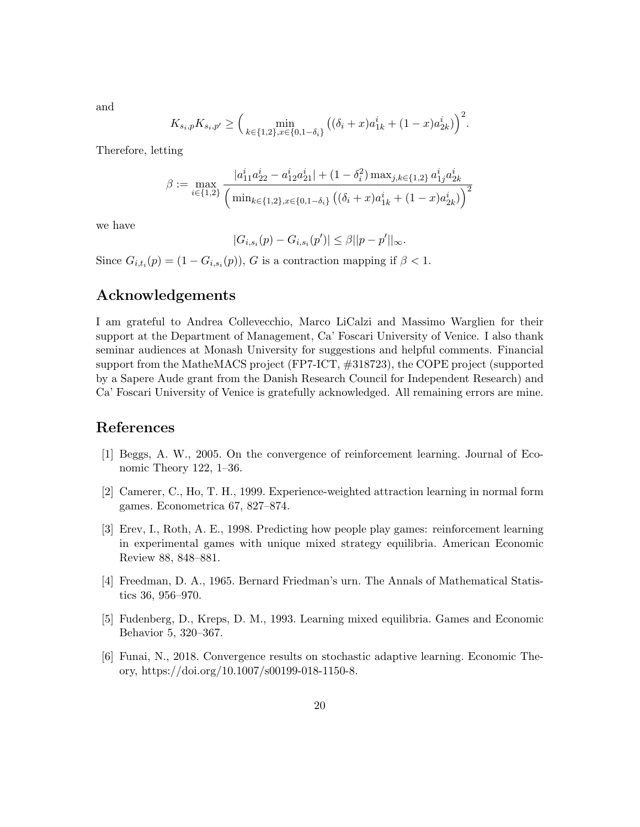and

$$
K_{s_i,p} K_{s_i,p'} \ge \Big(\min_{k \in \{1,2\}, x \in \{0,1-\delta_i\}} \big((\delta_i+x)a_{1k}^i + (1-x)a_{2k}^i)\Big)^2.
$$

Therefore, letting

$$
\beta := \max_{i \in \{1,2\}} \frac{|a_{11}^i a_{22}^i - a_{12}^i a_{21}^i| + (1 - \delta_i^2) \max_{j,k \in \{1,2\}} a_{1j}^i a_{2k}^i}{\left(\min_{k \in \{1,2\}, x \in \{0,1-\delta_i\}} \left((\delta_i + x) a_{1k}^i + (1 - x) a_{2k}^i\right)\right)^2}
$$

we have

$$
|G_{i,s_i}(p)-G_{i,s_i}(p')|\leq \beta||p-p'||_{\infty}.
$$

Since  $G_{i,t_i}(p) = (1 - G_{i,s_i}(p)), G$  is a contraction mapping if  $\beta < 1$ .

### Acknowledgements

I am grateful to Andrea Collevecchio, Marco LiCalzi and Massimo Warglien for their support at the Department of Management, Ca' Foscari University of Venice. I also thank seminar audiences at Monash University for suggestions and helpful comments. Financial support from the MatheMACS project (FP7-ICT, #318723), the COPE project (supported by a Sapere Aude grant from the Danish Research Council for Independent Research) and Ca' Foscari University of Venice is gratefully acknowledged. All remaining errors are mine.

### References

- [1] Beggs, A. W., 2005. On the convergence of reinforcement learning. Journal of Economic Theory 122, 1–36.
- [2] Camerer, C., Ho, T. H., 1999. Experience-weighted attraction learning in normal form games. Econometrica 67, 827–874.
- [3] Erev, I., Roth, A. E., 1998. Predicting how people play games: reinforcement learning in experimental games with unique mixed strategy equilibria. American Economic Review 88, 848–881.
- [4] Freedman, D. A., 1965. Bernard Friedman's urn. The Annals of Mathematical Statistics 36, 956–970.
- [5] Fudenberg, D., Kreps, D. M., 1993. Learning mixed equilibria. Games and Economic Behavior 5, 320–367.
- [6] Funai, N., 2018. Convergence results on stochastic adaptive learning. Economic Theory, https://doi.org/10.1007/s00199-018-1150-8.